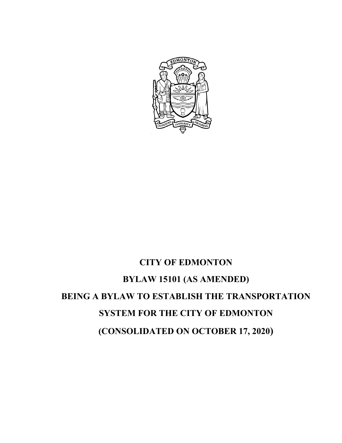

# **CITY OF EDMONTON BYLAW 15101 (AS AMENDED) BEING A BYLAW TO ESTABLISH THE TRANSPORTATION SYSTEM FOR THE CITY OF EDMONTON (CONSOLIDATED ON OCTOBER 17, 2020)**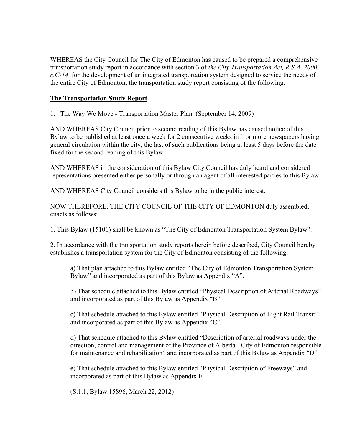WHEREAS the City Council for The City of Edmonton has caused to be prepared a comprehensive transportation study report in accordance with section 3 of *the City Transportation Act, R.S.A. 2000, c.C-14* for the development of an integrated transportation system designed to service the needs of the entire City of Edmonton, the transportation study report consisting of the following:

#### **The Transportation Study Report**

1. The Way We Move - Transportation Master Plan (September 14, 2009)

AND WHEREAS City Council prior to second reading of this Bylaw has caused notice of this Bylaw to be published at least once a week for 2 consecutive weeks in 1 or more newspapers having general circulation within the city, the last of such publications being at least 5 days before the date fixed for the second reading of this Bylaw.

AND WHEREAS in the consideration of this Bylaw City Council has duly heard and considered representations presented either personally or through an agent of all interested parties to this Bylaw.

AND WHEREAS City Council considers this Bylaw to be in the public interest.

NOW THEREFORE, THE CITY COUNCIL OF THE CITY OF EDMONTON duly assembled, enacts as follows:

1. This Bylaw (15101) shall be known as "The City of Edmonton Transportation System Bylaw".

2. In accordance with the transportation study reports herein before described, City Council hereby establishes a transportation system for the City of Edmonton consisting of the following:

a) That plan attached to this Bylaw entitled "The City of Edmonton Transportation System Bylaw" and incorporated as part of this Bylaw as Appendix "A".

b) That schedule attached to this Bylaw entitled "Physical Description of Arterial Roadways" and incorporated as part of this Bylaw as Appendix "B".

c) That schedule attached to this Bylaw entitled "Physical Description of Light Rail Transit" and incorporated as part of this Bylaw as Appendix "C".

d) That schedule attached to this Bylaw entitled "Description of arterial roadways under the direction, control and management of the Province of Alberta - City of Edmonton responsible for maintenance and rehabilitation" and incorporated as part of this Bylaw as Appendix "D".

e) That schedule attached to this Bylaw entitled "Physical Description of Freeways" and incorporated as part of this Bylaw as Appendix E.

(S.1.1, Bylaw 15896, March 22, 2012)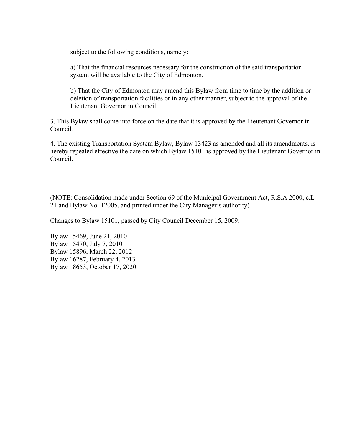subject to the following conditions, namely:

a) That the financial resources necessary for the construction of the said transportation system will be available to the City of Edmonton.

b) That the City of Edmonton may amend this Bylaw from time to time by the addition or deletion of transportation facilities or in any other manner, subject to the approval of the Lieutenant Governor in Council.

3. This Bylaw shall come into force on the date that it is approved by the Lieutenant Governor in Council.

4. The existing Transportation System Bylaw, Bylaw 13423 as amended and all its amendments, is hereby repealed effective the date on which Bylaw 15101 is approved by the Lieutenant Governor in Council.

(NOTE: Consolidation made under Section 69 of the Municipal Government Act, R.S.A 2000, c.L-21 and Bylaw No. 12005, and printed under the City Manager's authority)

Changes to Bylaw 15101, passed by City Council December 15, 2009:

Bylaw 15469, June 21, 2010 Bylaw 15470, July 7, 2010 Bylaw 15896, March 22, 2012 Bylaw 16287, February 4, 2013 Bylaw 18653, October 17, 2020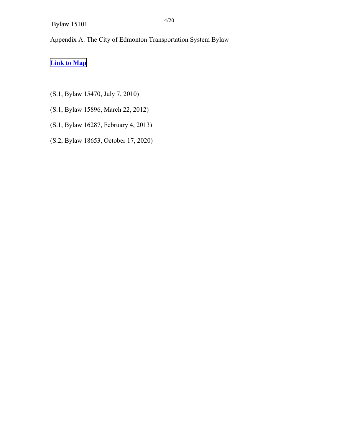Appendix A: The City of Edmonton Transportation System Bylaw

# **Link to Map**

- (S.1, Bylaw 15470, July 7, 2010)
- (S.1, Bylaw 15896, March 22, 2012)
- (S.1, Bylaw 16287, February 4, 2013)
- (S.2, Bylaw 18653, October 17, 2020)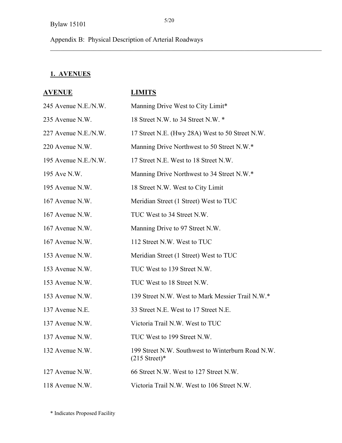Appendix B: Physical Description of Arterial Roadways

#### **1. AVENUES**

# **AVENUE LIMITS**  245 Avenue N.E./N.W. Manning Drive West to City Limit\* 235 Avenue N.W. 18 Street N.W. to 34 Street N.W.  $*$ 227 Avenue N.E./N.W. 17 Street N.E. (Hwy 28A) West to 50 Street N.W. 220 Avenue N.W. Manning Drive Northwest to 50 Street N.W.\* 195 Avenue N.E./N.W. 17 Street N.E. West to 18 Street N.W. 195 Ave N.W. Manning Drive Northwest to 34 Street N.W.\* 195 Avenue N.W. 18 Street N.W. West to City Limit 167 Avenue N.W. Meridian Street (1 Street) West to TUC 167 Avenue N.W. TUC West to 34 Street N.W. 167 Avenue N.W. Manning Drive to 97 Street N.W. 167 Avenue N.W. 112 Street N.W. West to TUC 153 Avenue N.W. Meridian Street (1 Street) West to TUC 153 Avenue N.W. TUC West to 139 Street N.W. 153 Avenue N.W. TUC West to 18 Street N.W. 153 Avenue N.W. 139 Street N.W. West to Mark Messier Trail N.W.\* 137 Avenue N.E. 33 Street N.E. West to 17 Street N.E. 137 Avenue N.W. Victoria Trail N.W. West to TUC 137 Avenue N.W. TUC West to 199 Street N.W. 132 Avenue N.W. 199 Street N.W. Southwest to Winterburn Road N.W.  $(215$  Street)\* 127 Avenue N.W. 66 Street N.W. West to 127 Street N.W. 118 Avenue N.W. Victoria Trail N.W. West to 106 Street N.W.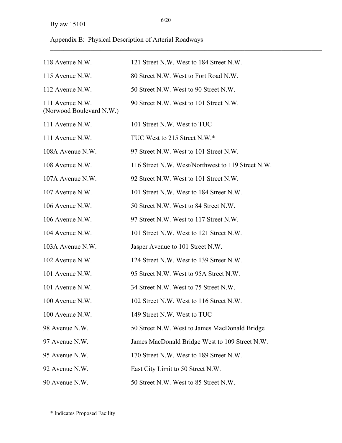# Appendix B: Physical Description of Arterial Roadways

| 118 Avenue N.W.                             | 121 Street N.W. West to 184 Street N.W.           |
|---------------------------------------------|---------------------------------------------------|
| 115 Avenue N.W.                             | 80 Street N.W. West to Fort Road N.W.             |
| 112 Avenue N.W.                             | 50 Street N.W. West to 90 Street N.W.             |
| 111 Avenue N.W.<br>(Norwood Boulevard N.W.) | 90 Street N.W. West to 101 Street N.W.            |
| 111 Avenue N.W.                             | 101 Street N.W. West to TUC                       |
| 111 Avenue N.W.                             | TUC West to 215 Street N.W.*                      |
| 108A Avenue N.W.                            | 97 Street N.W. West to 101 Street N.W.            |
| 108 Avenue N.W.                             | 116 Street N.W. West/Northwest to 119 Street N.W. |
| 107A Avenue N.W.                            | 92 Street N.W. West to 101 Street N.W.            |
| 107 Avenue N.W.                             | 101 Street N.W. West to 184 Street N.W.           |
| 106 Avenue N.W.                             | 50 Street N.W. West to 84 Street N.W.             |
| 106 Avenue N.W.                             | 97 Street N.W. West to 117 Street N.W.            |
| 104 Avenue N.W.                             | 101 Street N.W. West to 121 Street N.W.           |
| 103A Avenue N.W.                            | Jasper Avenue to 101 Street N.W.                  |
| 102 Avenue N.W.                             | 124 Street N.W. West to 139 Street N.W.           |
| 101 Avenue N.W.                             | 95 Street N.W. West to 95A Street N.W.            |
| 101 Avenue N.W.                             | 34 Street N.W. West to 75 Street N.W.             |
| 100 Avenue N.W.                             | 102 Street N.W. West to 116 Street N.W.           |
| 100 Avenue N.W.                             | 149 Street N.W. West to TUC                       |
| 98 Avenue N.W.                              | 50 Street N.W. West to James MacDonald Bridge     |
| 97 Avenue N.W.                              | James MacDonald Bridge West to 109 Street N.W.    |
| 95 Avenue N.W.                              | 170 Street N.W. West to 189 Street N.W.           |
| 92 Avenue N.W.                              | East City Limit to 50 Street N.W.                 |
| 90 Avenue N.W.                              | 50 Street N.W. West to 85 Street N.W.             |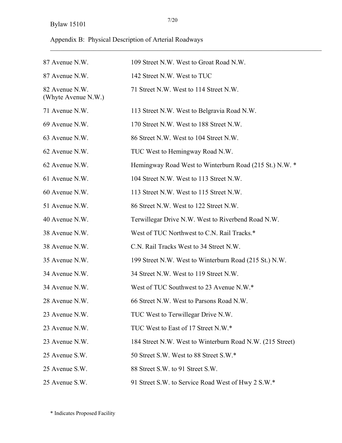# Appendix B: Physical Description of Arterial Roadways

| 87 Avenue N.W.                        | 109 Street N.W. West to Groat Road N.W.                   |
|---------------------------------------|-----------------------------------------------------------|
| 87 Avenue N.W.                        | 142 Street N.W. West to TUC                               |
| 82 Avenue N.W.<br>(Whyte Avenue N.W.) | 71 Street N.W. West to 114 Street N.W.                    |
| 71 Avenue N.W.                        | 113 Street N.W. West to Belgravia Road N.W.               |
| 69 Avenue N.W.                        | 170 Street N.W. West to 188 Street N.W.                   |
| 63 Avenue N.W.                        | 86 Street N.W. West to 104 Street N.W.                    |
| 62 Avenue N.W.                        | TUC West to Hemingway Road N.W.                           |
| 62 Avenue N.W.                        | Hemingway Road West to Winterburn Road (215 St.) N.W. *   |
| 61 Avenue N.W.                        | 104 Street N.W. West to 113 Street N.W.                   |
| 60 Avenue N.W.                        | 113 Street N.W. West to 115 Street N.W.                   |
| 51 Avenue N.W.                        | 86 Street N.W. West to 122 Street N.W.                    |
| 40 Avenue N.W.                        | Terwillegar Drive N.W. West to Riverbend Road N.W.        |
| 38 Avenue N.W.                        | West of TUC Northwest to C.N. Rail Tracks.*               |
| 38 Avenue N.W.                        | C.N. Rail Tracks West to 34 Street N.W.                   |
| 35 Avenue N.W.                        | 199 Street N.W. West to Winterburn Road (215 St.) N.W.    |
| 34 Avenue N.W.                        | 34 Street N.W. West to 119 Street N.W.                    |
| 34 Avenue N.W.                        | West of TUC Southwest to 23 Avenue N.W.*                  |
| 28 Avenue N.W.                        | 66 Street N.W. West to Parsons Road N.W.                  |
| 23 Avenue N.W.                        | TUC West to Terwillegar Drive N.W.                        |
| 23 Avenue N.W.                        | TUC West to East of 17 Street N.W.*                       |
| 23 Avenue N.W.                        | 184 Street N.W. West to Winterburn Road N.W. (215 Street) |
| 25 Avenue S.W.                        | 50 Street S.W. West to 88 Street S.W.*                    |
| 25 Avenue S.W.                        | 88 Street S.W. to 91 Street S.W.                          |
| 25 Avenue S.W.                        | 91 Street S.W. to Service Road West of Hwy 2 S.W.*        |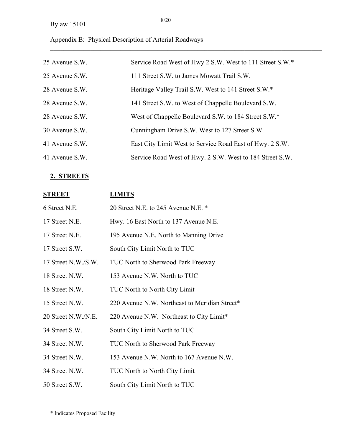# Appendix B: Physical Description of Arterial Roadways

| 25 Avenue S.W. | Service Road West of Hwy 2 S.W. West to 111 Street S.W.* |
|----------------|----------------------------------------------------------|
| 25 Avenue S.W. | 111 Street S.W. to James Mowatt Trail S.W.               |
| 28 Avenue S.W. | Heritage Valley Trail S.W. West to 141 Street S.W.*      |
| 28 Avenue S.W. | 141 Street S.W. to West of Chappelle Boulevard S.W.      |
| 28 Avenue S.W. | West of Chappelle Boulevard S.W. to 184 Street S.W.*     |
| 30 Avenue S.W. | Cunningham Drive S.W. West to 127 Street S.W.            |
| 41 Avenue S.W. | East City Limit West to Service Road East of Hwy. 2 S.W. |
| 41 Avenue S.W. | Service Road West of Hwy. 2 S.W. West to 184 Street S.W. |

# **2. STREETS**

| <b>STREET</b>       | <b>LIMITS</b>                                 |
|---------------------|-----------------------------------------------|
| 6 Street N.E.       | 20 Street N.E. to 245 Avenue N.E. *           |
| 17 Street N.E.      | Hwy. 16 East North to 137 Avenue N.E.         |
| 17 Street N.E.      | 195 Avenue N.E. North to Manning Drive        |
| 17 Street S.W.      | South City Limit North to TUC                 |
| 17 Street N.W./S.W. | TUC North to Sherwood Park Freeway            |
| 18 Street N.W.      | 153 Avenue N.W. North to TUC                  |
| 18 Street N.W.      | <b>TUC North to North City Limit</b>          |
| 15 Street N.W.      | 220 Avenue N.W. Northeast to Meridian Street* |
| 20 Street N.W./N.E. | 220 Avenue N.W. Northeast to City Limit*      |
| 34 Street S.W.      | South City Limit North to TUC                 |
| 34 Street N.W.      | TUC North to Sherwood Park Freeway            |
| 34 Street N.W.      | 153 Avenue N.W. North to 167 Avenue N.W.      |
| 34 Street N.W.      | <b>TUC North to North City Limit</b>          |
| 50 Street S.W.      | South City Limit North to TUC                 |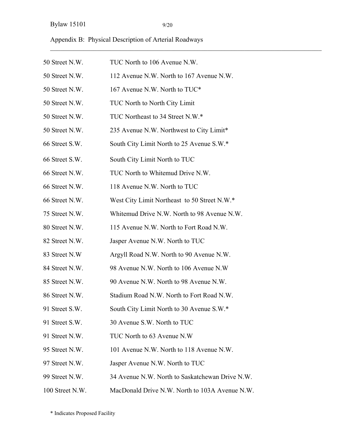|  | Appendix B: Physical Description of Arterial Roadways |  |
|--|-------------------------------------------------------|--|
|  |                                                       |  |

| 50 Street N.W.  | TUC North to 106 Avenue N.W.                    |
|-----------------|-------------------------------------------------|
| 50 Street N.W.  | 112 Avenue N.W. North to 167 Avenue N.W.        |
| 50 Street N.W.  | 167 Avenue N.W. North to TUC*                   |
| 50 Street N.W.  | TUC North to North City Limit                   |
| 50 Street N.W.  | TUC Northeast to 34 Street N.W.*                |
| 50 Street N.W.  | 235 Avenue N.W. Northwest to City Limit*        |
| 66 Street S.W.  | South City Limit North to 25 Avenue S.W.*       |
| 66 Street S.W.  | South City Limit North to TUC                   |
| 66 Street N.W.  | TUC North to Whitemud Drive N.W.                |
| 66 Street N.W.  | 118 Avenue N.W. North to TUC                    |
| 66 Street N.W.  | West City Limit Northeast to 50 Street N.W.*    |
| 75 Street N.W.  | Whitemud Drive N.W. North to 98 Avenue N.W.     |
| 80 Street N.W.  | 115 Avenue N.W. North to Fort Road N.W.         |
| 82 Street N.W.  | Jasper Avenue N.W. North to TUC                 |
| 83 Street N.W   | Argyll Road N.W. North to 90 Avenue N.W.        |
| 84 Street N.W.  | 98 Avenue N.W. North to 106 Avenue N.W.         |
| 85 Street N.W.  | 90 Avenue N.W. North to 98 Avenue N.W.          |
| 86 Street N.W.  | Stadium Road N.W. North to Fort Road N.W.       |
| 91 Street S.W.  | South City Limit North to 30 Avenue S.W.*       |
| 91 Street S.W.  | 30 Avenue S.W. North to TUC                     |
| 91 Street N.W.  | TUC North to 63 Avenue N.W                      |
| 95 Street N.W.  | 101 Avenue N.W. North to 118 Avenue N.W.        |
| 97 Street N.W.  | Jasper Avenue N.W. North to TUC                 |
| 99 Street N.W.  | 34 Avenue N.W. North to Saskatchewan Drive N.W. |
| 100 Street N.W. | MacDonald Drive N.W. North to 103A Avenue N.W.  |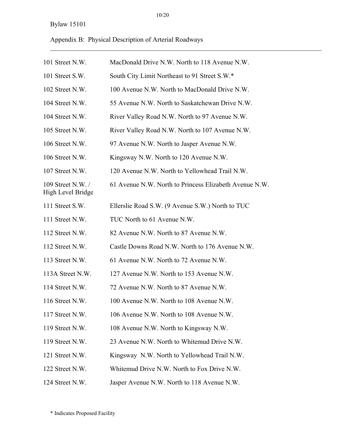10/20

 $\mathcal{L}_\mathcal{L} = \{ \mathcal{L}_\mathcal{L} = \{ \mathcal{L}_\mathcal{L} = \{ \mathcal{L}_\mathcal{L} = \{ \mathcal{L}_\mathcal{L} = \{ \mathcal{L}_\mathcal{L} = \{ \mathcal{L}_\mathcal{L} = \{ \mathcal{L}_\mathcal{L} = \{ \mathcal{L}_\mathcal{L} = \{ \mathcal{L}_\mathcal{L} = \{ \mathcal{L}_\mathcal{L} = \{ \mathcal{L}_\mathcal{L} = \{ \mathcal{L}_\mathcal{L} = \{ \mathcal{L}_\mathcal{L} = \{ \mathcal{L}_\mathcal{$ 

Appendix B: Physical Description of Arterial Roadways

| 101 Street N.W.                       | MacDonald Drive N.W. North to 118 Avenue N.W.          |
|---------------------------------------|--------------------------------------------------------|
| 101 Street S.W.                       | South City Limit Northeast to 91 Street S.W.*          |
| 102 Street N.W.                       | 100 Avenue N.W. North to MacDonald Drive N.W.          |
| 104 Street N.W.                       | 55 Avenue N.W. North to Saskatchewan Drive N.W.        |
| 104 Street N.W.                       | River Valley Road N.W. North to 97 Avenue N.W.         |
| 105 Street N.W.                       | River Valley Road N.W. North to 107 Avenue N.W.        |
| 106 Street N.W.                       | 97 Avenue N.W. North to Jasper Avenue N.W.             |
| 106 Street N.W.                       | Kingsway N.W. North to 120 Avenue N.W.                 |
| 107 Street N.W.                       | 120 Avenue N.W. North to Yellowhead Trail N.W.         |
| 109 Street N.W./<br>High Level Bridge | 61 Avenue N.W. North to Princess Elizabeth Avenue N.W. |
| 111 Street S.W.                       | Ellerslie Road S.W. (9 Avenue S.W.) North to TUC       |
| 111 Street N.W.                       | TUC North to 61 Avenue N.W.                            |
| 112 Street N.W.                       | 82 Avenue N.W. North to 87 Avenue N.W.                 |
| 112 Street N.W.                       | Castle Downs Road N.W. North to 176 Avenue N.W.        |
| 113 Street N.W.                       | 61 Avenue N.W. North to 72 Avenue N.W.                 |
| 113A Street N.W.                      | 127 Avenue N.W. North to 153 Avenue N.W.               |
| 114 Street N.W.                       | 72 Avenue N.W. North to 87 Avenue N.W.                 |
| 116 Street N.W.                       | 100 Avenue N.W. North to 108 Avenue N.W.               |
| 117 Street N.W.                       | 106 Avenue N.W. North to 108 Avenue N.W.               |
| 119 Street N.W.                       | 108 Avenue N.W. North to Kingsway N.W.                 |
| 119 Street N.W.                       | 23 Avenue N.W. North to Whitemud Drive N.W.            |
| 121 Street N.W.                       | Kingsway N.W. North to Yellowhead Trail N.W.           |
| 122 Street N.W.                       | Whitemud Drive N.W. North to Fox Drive N.W.            |
| 124 Street N.W.                       | Jasper Avenue N.W. North to 118 Avenue N.W.            |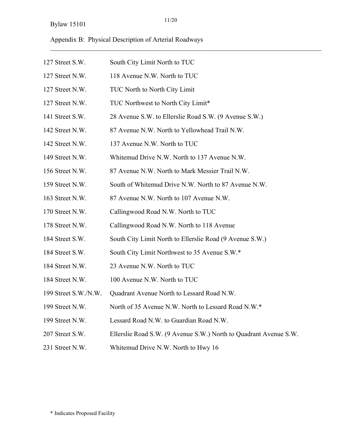Appendix B: Physical Description of Arterial Roadways

| 127 Street S.W.      | South City Limit North to TUC                                     |
|----------------------|-------------------------------------------------------------------|
| 127 Street N.W.      | 118 Avenue N.W. North to TUC                                      |
| 127 Street N.W.      | TUC North to North City Limit                                     |
| 127 Street N.W.      | TUC Northwest to North City Limit*                                |
| 141 Street S.W.      | 28 Avenue S.W. to Ellerslie Road S.W. (9 Avenue S.W.)             |
| 142 Street N.W.      | 87 Avenue N.W. North to Yellowhead Trail N.W.                     |
| 142 Street N.W.      | 137 Avenue N.W. North to TUC                                      |
| 149 Street N.W.      | Whitemud Drive N.W. North to 137 Avenue N.W.                      |
| 156 Street N.W.      | 87 Avenue N.W. North to Mark Messier Trail N.W.                   |
| 159 Street N.W.      | South of Whitemud Drive N.W. North to 87 Avenue N.W.              |
| 163 Street N.W.      | 87 Avenue N.W. North to 107 Avenue N.W.                           |
| 170 Street N.W.      | Callingwood Road N.W. North to TUC                                |
| 178 Street N.W.      | Callingwood Road N.W. North to 118 Avenue                         |
| 184 Street S.W.      | South City Limit North to Ellerslie Road (9 Avenue S.W.)          |
| 184 Street S.W.      | South City Limit Northwest to 35 Avenue S.W.*                     |
| 184 Street N.W.      | 23 Avenue N.W. North to TUC                                       |
| 184 Street N.W.      | 100 Avenue N.W. North to TUC                                      |
| 199 Street S.W./N.W. | Quadrant Avenue North to Lessard Road N.W.                        |
| 199 Street N.W.      | North of 35 Avenue N.W. North to Lessard Road N.W.*               |
| 199 Street N.W.      | Lessard Road N.W. to Guardian Road N.W.                           |
| 207 Street S.W.      | Ellerslie Road S.W. (9 Avenue S.W.) North to Quadrant Avenue S.W. |
| 231 Street N.W.      | Whitemud Drive N.W. North to Hwy 16                               |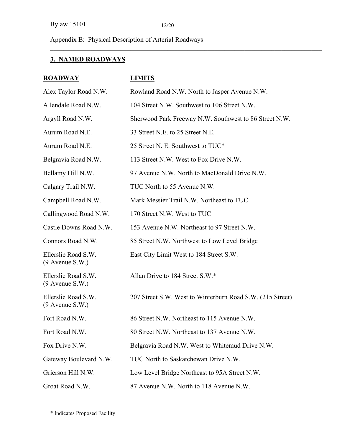Appendix B: Physical Description of Arterial Roadways

# **3. NAMED ROADWAYS**

| <b>ROADWAY</b>                           | <b>LIMITS</b>                                             |
|------------------------------------------|-----------------------------------------------------------|
| Alex Taylor Road N.W.                    | Rowland Road N.W. North to Jasper Avenue N.W.             |
| Allendale Road N.W.                      | 104 Street N.W. Southwest to 106 Street N.W.              |
| Argyll Road N.W.                         | Sherwood Park Freeway N.W. Southwest to 86 Street N.W.    |
| Aurum Road N.E.                          | 33 Street N.E. to 25 Street N.E.                          |
| Aurum Road N.E.                          | 25 Street N. E. Southwest to TUC*                         |
| Belgravia Road N.W.                      | 113 Street N.W. West to Fox Drive N.W.                    |
| Bellamy Hill N.W.                        | 97 Avenue N.W. North to MacDonald Drive N.W.              |
| Calgary Trail N.W.                       | TUC North to 55 Avenue N.W.                               |
| Campbell Road N.W.                       | Mark Messier Trail N.W. Northeast to TUC                  |
| Callingwood Road N.W.                    | 170 Street N.W. West to TUC                               |
| Castle Downs Road N.W.                   | 153 Avenue N.W. Northeast to 97 Street N.W.               |
| Connors Road N.W.                        | 85 Street N.W. Northwest to Low Level Bridge              |
| Ellerslie Road S.W.<br>$(9$ Avenue S.W.) | East City Limit West to 184 Street S.W.                   |
| Ellerslie Road S.W.<br>$(9$ Avenue S.W.) | Allan Drive to 184 Street S.W.*                           |
| Ellerslie Road S.W.<br>$(9$ Avenue S.W.) | 207 Street S.W. West to Winterburn Road S.W. (215 Street) |
| Fort Road N.W.                           | 86 Street N.W. Northeast to 115 Avenue N.W.               |
| Fort Road N.W.                           | 80 Street N.W. Northeast to 137 Avenue N.W.               |
| Fox Drive N.W.                           | Belgravia Road N.W. West to Whitemud Drive N.W.           |
| Gateway Boulevard N.W.                   | TUC North to Saskatchewan Drive N.W.                      |
| Grierson Hill N.W.                       | Low Level Bridge Northeast to 95A Street N.W.             |
| Groat Road N.W.                          | 87 Avenue N.W. North to 118 Avenue N.W.                   |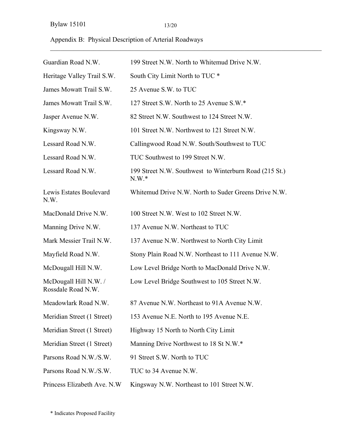## Appendix B: Physical Description of Arterial Roadways

| Guardian Road N.W.                          | 199 Street N.W. North to Whitemud Drive N.W.                      |
|---------------------------------------------|-------------------------------------------------------------------|
| Heritage Valley Trail S.W.                  | South City Limit North to TUC *                                   |
| James Mowatt Trail S.W.                     | 25 Avenue S.W. to TUC                                             |
| James Mowatt Trail S.W.                     | 127 Street S.W. North to 25 Avenue S.W.*                          |
| Jasper Avenue N.W.                          | 82 Street N.W. Southwest to 124 Street N.W.                       |
| Kingsway N.W.                               | 101 Street N.W. Northwest to 121 Street N.W.                      |
| Lessard Road N.W.                           | Callingwood Road N.W. South/Southwest to TUC                      |
| Lessard Road N.W.                           | TUC Southwest to 199 Street N.W.                                  |
| Lessard Road N.W.                           | 199 Street N.W. Southwest to Winterburn Road (215 St.)<br>$N.W.*$ |
| Lewis Estates Boulevard<br>N.W.             | Whitemud Drive N.W. North to Suder Greens Drive N.W.              |
| MacDonald Drive N.W.                        | 100 Street N.W. West to 102 Street N.W.                           |
| Manning Drive N.W.                          | 137 Avenue N.W. Northeast to TUC                                  |
| Mark Messier Trail N.W.                     | 137 Avenue N.W. Northwest to North City Limit                     |
| Mayfield Road N.W.                          | Stony Plain Road N.W. Northeast to 111 Avenue N.W.                |
| McDougall Hill N.W.                         | Low Level Bridge North to MacDonald Drive N.W.                    |
| McDougall Hill N.W. /<br>Rossdale Road N.W. | Low Level Bridge Southwest to 105 Street N.W.                     |
| Meadowlark Road N.W.                        | 87 Avenue N.W. Northeast to 91A Avenue N.W.                       |
| Meridian Street (1 Street)                  | 153 Avenue N.E. North to 195 Avenue N.E.                          |
| Meridian Street (1 Street)                  | Highway 15 North to North City Limit                              |
| Meridian Street (1 Street)                  | Manning Drive Northwest to 18 St N.W.*                            |
| Parsons Road N.W./S.W.                      | 91 Street S.W. North to TUC                                       |
| Parsons Road N.W./S.W.                      | TUC to 34 Avenue N.W.                                             |
| Princess Elizabeth Ave. N.W.                | Kingsway N.W. Northeast to 101 Street N.W.                        |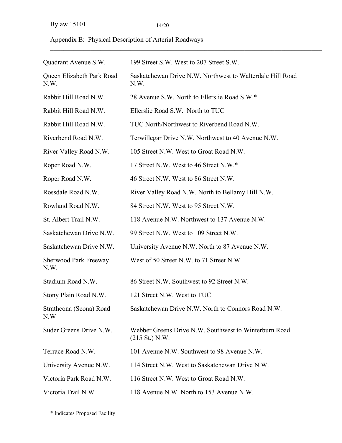| Appendix B: Physical Description of Arterial Roadways |  |  |
|-------------------------------------------------------|--|--|
|                                                       |  |  |

| Quadrant Avenue S.W.                 | 199 Street S.W. West to 207 Street S.W.                                           |
|--------------------------------------|-----------------------------------------------------------------------------------|
| Queen Elizabeth Park Road<br>N.W.    | Saskatchewan Drive N.W. Northwest to Walterdale Hill Road<br>N.W.                 |
| Rabbit Hill Road N.W.                | 28 Avenue S.W. North to Ellerslie Road S.W.*                                      |
| Rabbit Hill Road N.W.                | Ellerslie Road S.W. North to TUC                                                  |
| Rabbit Hill Road N.W.                | TUC North/Northwest to Riverbend Road N.W.                                        |
| Riverbend Road N.W.                  | Terwillegar Drive N.W. Northwest to 40 Avenue N.W.                                |
| River Valley Road N.W.               | 105 Street N.W. West to Groat Road N.W.                                           |
| Roper Road N.W.                      | 17 Street N.W. West to 46 Street N.W.*                                            |
| Roper Road N.W.                      | 46 Street N.W. West to 86 Street N.W.                                             |
| Rossdale Road N.W.                   | River Valley Road N.W. North to Bellamy Hill N.W.                                 |
| Rowland Road N.W.                    | 84 Street N.W. West to 95 Street N.W.                                             |
| St. Albert Trail N.W.                | 118 Avenue N.W. Northwest to 137 Avenue N.W.                                      |
| Saskatchewan Drive N.W.              | 99 Street N.W. West to 109 Street N.W.                                            |
| Saskatchewan Drive N.W.              | University Avenue N.W. North to 87 Avenue N.W.                                    |
| <b>Sherwood Park Freeway</b><br>N.W. | West of 50 Street N.W. to 71 Street N.W.                                          |
| Stadium Road N.W.                    | 86 Street N.W. Southwest to 92 Street N.W.                                        |
| Stony Plain Road N.W.                | 121 Street N.W. West to TUC                                                       |
| Strathcona (Scona) Road<br>N.W       | Saskatchewan Drive N.W. North to Connors Road N.W.                                |
| Suder Greens Drive N.W.              | Webber Greens Drive N.W. Southwest to Winterburn Road<br>$(215 \text{ St.})$ N.W. |
| Terrace Road N.W.                    | 101 Avenue N.W. Southwest to 98 Avenue N.W.                                       |
| University Avenue N.W.               | 114 Street N.W. West to Saskatchewan Drive N.W.                                   |
| Victoria Park Road N.W.              | 116 Street N.W. West to Groat Road N.W.                                           |
| Victoria Trail N.W.                  | 118 Avenue N.W. North to 153 Avenue N.W.                                          |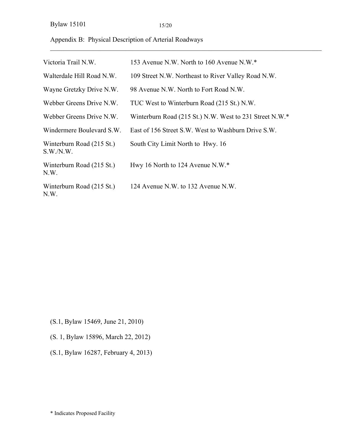Appendix B: Physical Description of Arterial Roadways

| Victoria Trail N.W.                   | 153 Avenue N.W. North to 160 Avenue N.W.*               |
|---------------------------------------|---------------------------------------------------------|
| Walterdale Hill Road N.W.             | 109 Street N.W. Northeast to River Valley Road N.W.     |
| Wayne Gretzky Drive N.W.              | 98 Avenue N.W. North to Fort Road N.W.                  |
| Webber Greens Drive N.W.              | TUC West to Winterburn Road (215 St.) N.W.              |
| Webber Greens Drive N.W.              | Winterburn Road (215 St.) N.W. West to 231 Street N.W.* |
| Windermere Boulevard S.W.             | East of 156 Street S.W. West to Washburn Drive S.W.     |
| Winterburn Road (215 St.)<br>S.W.N.W. | South City Limit North to Hwy. 16                       |
| Winterburn Road (215 St.)<br>N.W.     | Hwy 16 North to 124 Avenue N.W.*                        |
| Winterburn Road (215 St.)<br>N.W.     | 124 Avenue N.W. to 132 Avenue N.W.                      |

- (S.1, Bylaw 15469, June 21, 2010)
- (S. 1, Bylaw 15896, March 22, 2012)
- (S.1, Bylaw 16287, February 4, 2013)

<sup>\*</sup> Indicates Proposed Facility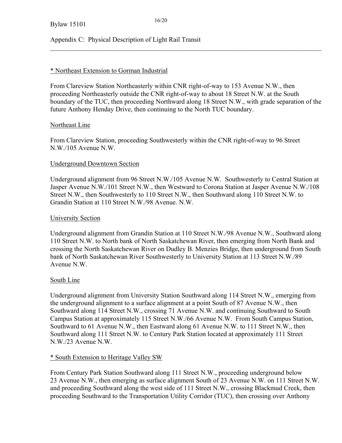#### Appendix C: Physical Description of Light Rail Transit

#### \* Northeast Extension to Gorman Industrial

From Clareview Station Northeasterly within CNR right-of-way to 153 Avenue N.W., then proceeding Northeasterly outside the CNR right-of-way to about 18 Street N.W. at the South boundary of the TUC, then proceeding Northward along 18 Street N.W., with grade separation of the future Anthony Henday Drive, then continuing to the North TUC boundary.

 $\mathcal{L}_\mathcal{L} = \{ \mathcal{L}_\mathcal{L} = \{ \mathcal{L}_\mathcal{L} = \{ \mathcal{L}_\mathcal{L} = \{ \mathcal{L}_\mathcal{L} = \{ \mathcal{L}_\mathcal{L} = \{ \mathcal{L}_\mathcal{L} = \{ \mathcal{L}_\mathcal{L} = \{ \mathcal{L}_\mathcal{L} = \{ \mathcal{L}_\mathcal{L} = \{ \mathcal{L}_\mathcal{L} = \{ \mathcal{L}_\mathcal{L} = \{ \mathcal{L}_\mathcal{L} = \{ \mathcal{L}_\mathcal{L} = \{ \mathcal{L}_\mathcal{$ 

#### Northeast Line

From Clareview Station, proceeding Southwesterly within the CNR right-of-way to 96 Street N.W./105 Avenue N.W.

#### Underground Downtown Section

Underground alignment from 96 Street N.W./105 Avenue N.W. Southwesterly to Central Station at Jasper Avenue N.W./101 Street N.W., then Westward to Corona Station at Jasper Avenue N.W./108 Street N.W., then Southwesterly to 110 Street N.W., then Southward along 110 Street N.W. to Grandin Station at 110 Street N.W./98 Avenue. N.W.

#### University Section

Underground alignment from Grandin Station at 110 Street N.W./98 Avenue N.W., Southward along 110 Street N.W. to North bank of North Saskatchewan River, then emerging from North Bank and crossing the North Saskatchewan River on Dudley B. Menzies Bridge, then underground from South bank of North Saskatchewan River Southwesterly to University Station at 113 Street N.W./89 Avenue N.W.

#### South Line

Underground alignment from University Station Southward along 114 Street N.W., emerging from the underground alignment to a surface alignment at a point South of 87 Avenue N.W., then Southward along 114 Street N.W., crossing 71 Avenue N.W. and continuing Southward to South Campus Station at approximately 115 Street N.W./66 Avenue N.W. From South Campus Station, Southward to 61 Avenue N.W., then Eastward along 61 Avenue N.W. to 111 Street N.W., then Southward along 111 Street N.W. to Century Park Station located at approximately 111 Street N.W./23 Avenue N.W.

#### \* South Extension to Heritage Valley SW

From Century Park Station Southward along 111 Street N.W., proceeding underground below 23 Avenue N.W., then emerging as surface alignment South of 23 Avenue N.W. on 111 Street N.W. and proceeding Southward along the west side of 111 Street N.W., crossing Blackmud Creek, then proceeding Southward to the Transportation Utility Corridor (TUC), then crossing over Anthony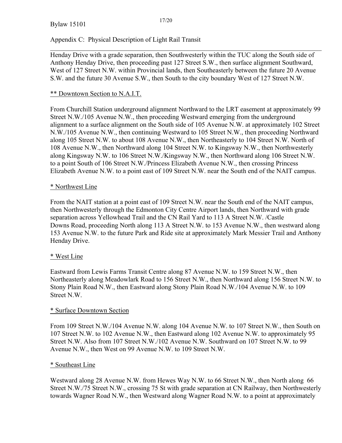#### Appendix C: Physical Description of Light Rail Transit

Henday Drive with a grade separation, then Southwesterly within the TUC along the South side of Anthony Henday Drive, then proceeding past 127 Street S.W., then surface alignment Southward, West of 127 Street N.W. within Provincial lands, then Southeasterly between the future 20 Avenue S.W. and the future 30 Avenue S.W., then South to the city boundary West of 127 Street N.W.

 $\mathcal{L}_\mathcal{L} = \{ \mathcal{L}_\mathcal{L} = \{ \mathcal{L}_\mathcal{L} = \{ \mathcal{L}_\mathcal{L} = \{ \mathcal{L}_\mathcal{L} = \{ \mathcal{L}_\mathcal{L} = \{ \mathcal{L}_\mathcal{L} = \{ \mathcal{L}_\mathcal{L} = \{ \mathcal{L}_\mathcal{L} = \{ \mathcal{L}_\mathcal{L} = \{ \mathcal{L}_\mathcal{L} = \{ \mathcal{L}_\mathcal{L} = \{ \mathcal{L}_\mathcal{L} = \{ \mathcal{L}_\mathcal{L} = \{ \mathcal{L}_\mathcal{$ 

#### \*\* Downtown Section to N.A.I.T.

From Churchill Station underground alignment Northward to the LRT easement at approximately 99 Street N.W./105 Avenue N.W., then proceeding Westward emerging from the underground alignment to a surface alignment on the South side of 105 Avenue N.W. at approximately 102 Street N.W./105 Avenue N.W., then continuing Westward to 105 Street N.W., then proceeding Northward along 105 Street N.W. to about 108 Avenue N.W., then Northeasterly to 104 Street N.W. North of 108 Avenue N.W., then Northward along 104 Street N.W. to Kingsway N.W., then Northwesterly along Kingsway N.W. to 106 Street N.W./Kingsway N.W., then Northward along 106 Street N.W. to a point South of 106 Street N.W./Princess Elizabeth Avenue N.W., then crossing Princess Elizabeth Avenue N.W. to a point east of 109 Street N.W. near the South end of the NAIT campus.

#### \* Northwest Line

From the NAIT station at a point east of 109 Street N.W. near the South end of the NAIT campus, then Northwesterly through the Edmonton City Centre Airport lands, then Northward with grade separation across Yellowhead Trail and the CN Rail Yard to 113 A Street N.W. /Castle Downs Road, proceeding North along 113 A Street N.W. to 153 Avenue N.W., then westward along 153 Avenue N.W. to the future Park and Ride site at approximately Mark Messier Trail and Anthony Henday Drive.

#### \* West Line

Eastward from Lewis Farms Transit Centre along 87 Avenue N.W. to 159 Street N.W., then Northeasterly along Meadowlark Road to 156 Street N.W., then Northward along 156 Street N.W. to Stony Plain Road N.W., then Eastward along Stony Plain Road N.W./104 Avenue N.W. to 109 Street N.W.

#### \* Surface Downtown Section

From 109 Street N.W./104 Avenue N.W. along 104 Avenue N.W. to 107 Street N.W., then South on 107 Street N.W. to 102 Avenue N.W., then Eastward along 102 Avenue N.W. to approximately 95 Street N.W. Also from 107 Street N.W./102 Avenue N.W. Southward on 107 Street N.W. to 99 Avenue N.W., then West on 99 Avenue N.W. to 109 Street N.W.

#### \* Southeast Line

Westward along 28 Avenue N.W. from Hewes Way N.W. to 66 Street N.W., then North along 66 Street N.W./75 Street N.W., crossing 75 St with grade separation at CN Railway, then Northwesterly towards Wagner Road N.W., then Westward along Wagner Road N.W. to a point at approximately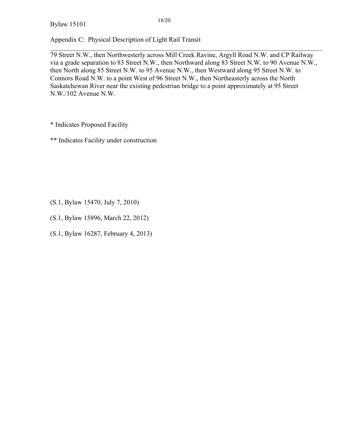Bylaw 15101

Appendix C: Physical Description of Light Rail Transit

79 Street N.W., then Northwesterly across Mill Creek Ravine, Argyll Road N.W. and CP Railway via a grade separation to 83 Street N.W., then Northward along 83 Street N.W. to 90 Avenue N.W., then North along 85 Street N.W. to 95 Avenue N.W., then Westward along 95 Street N.W. to Connors Road N.W. to a point West of 96 Street N.W., then Northeasterly across the North Saskatchewan River near the existing pedestrian bridge to a point approximately at 95 Street N.W./102 Avenue N.W.

 $\mathcal{L}_\mathcal{L} = \{ \mathcal{L}_\mathcal{L} = \{ \mathcal{L}_\mathcal{L} = \{ \mathcal{L}_\mathcal{L} = \{ \mathcal{L}_\mathcal{L} = \{ \mathcal{L}_\mathcal{L} = \{ \mathcal{L}_\mathcal{L} = \{ \mathcal{L}_\mathcal{L} = \{ \mathcal{L}_\mathcal{L} = \{ \mathcal{L}_\mathcal{L} = \{ \mathcal{L}_\mathcal{L} = \{ \mathcal{L}_\mathcal{L} = \{ \mathcal{L}_\mathcal{L} = \{ \mathcal{L}_\mathcal{L} = \{ \mathcal{L}_\mathcal{$ 

\* Indicates Proposed Facility

\*\* Indicates Facility under construction

(S.1, Bylaw 15470, July 7, 2010)

(S.1, Bylaw 15896, March 22, 2012)

(S.1, Bylaw 16287, February 4, 2013)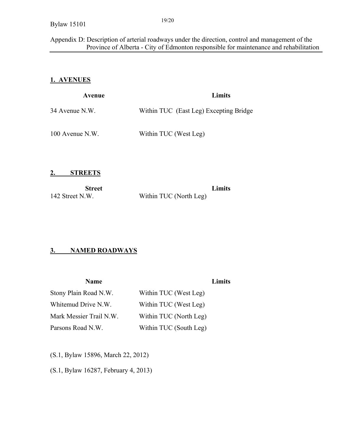#### Appendix D: Description of arterial roadways under the direction, control and management of the Province of Alberta - City of Edmonton responsible for maintenance and rehabilitation

### **1. AVENUES**

| Avenue          | Limits                                 |
|-----------------|----------------------------------------|
| 34 Avenue N.W.  | Within TUC (East Leg) Excepting Bridge |
| 100 Avenue N.W. | Within TUC (West Leg)                  |

**2. STREETS** 

| <b>Street</b>   |                        | Limits |
|-----------------|------------------------|--------|
| 142 Street N.W. | Within TUC (North Leg) |        |

### **3. NAMED ROADWAYS**

| <b>Name</b>             |                        | <b>Limits</b> |
|-------------------------|------------------------|---------------|
| Stony Plain Road N.W.   | Within TUC (West Leg)  |               |
| Whitemud Drive N.W.     | Within TUC (West Leg)  |               |
| Mark Messier Trail N.W. | Within TUC (North Leg) |               |
| Parsons Road N.W.       | Within TUC (South Leg) |               |

(S.1, Bylaw 15896, March 22, 2012)

(S.1, Bylaw 16287, February 4, 2013)